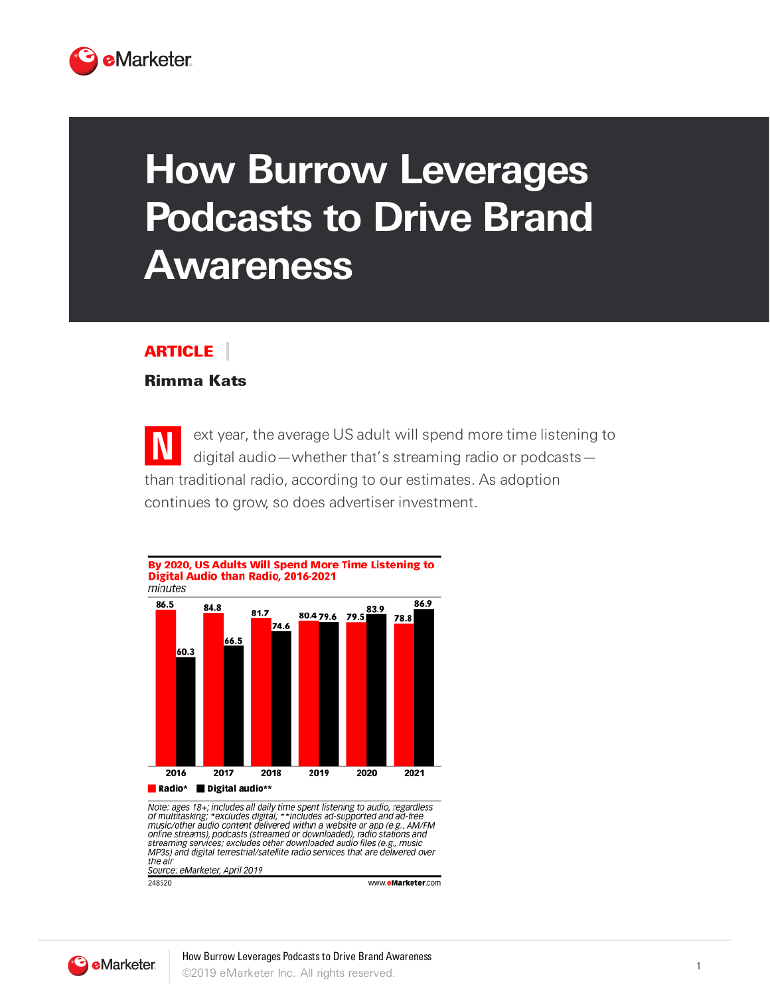

## **How Burrow Leverages Podcasts to Drive Brand Awareness**

## ARTICLE

## Rimma Kats

**N** ext year, the average US adult will spend more time listening to digital audio—whether that's streaming radio or podcasts than traditional radio, according to our estimates. As adoption continues to grow, so does advertiser investment.



Note: ages 18+; includes all daily time spent listening to audio, regardless<br>of multitasking; \*excludes digital; \*\*includes ad-supported and ad-free<br>music/other audio content delivered within a website or app (e.g., AM/FM<br> streaming services; excludes other downloaded audio files (e.g., music MP3s) and digital terrestrial/satellite radio services that are delivered over the air source: eMarketer, April 2019

248520

www.eMarketer.com